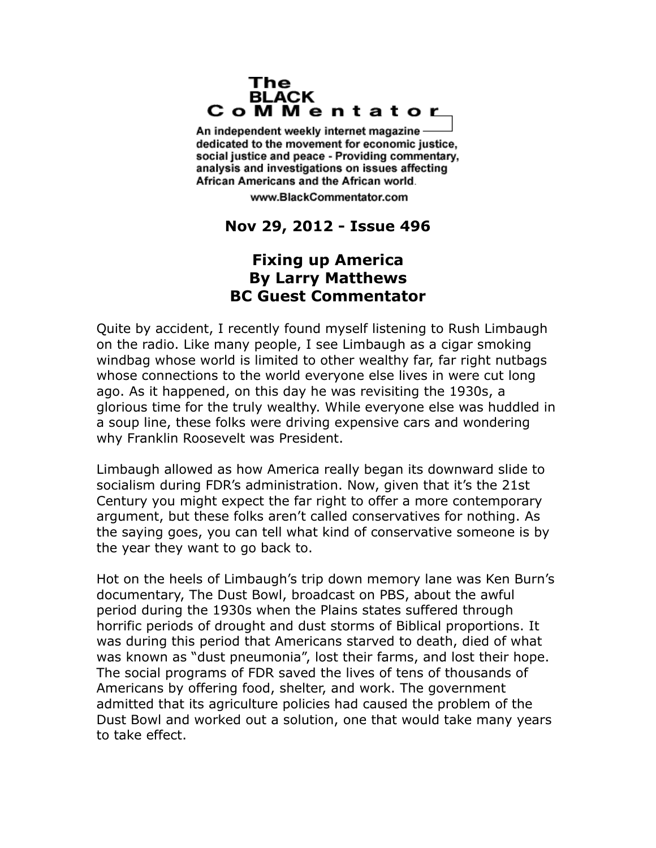## The **BLACK** CoMMentator

An independent weekly internet magazine dedicated to the movement for economic justice. social justice and peace - Providing commentary, analysis and investigations on issues affecting African Americans and the African world.

www.BlackCommentator.com

## **Nov 29, 2012 - Issue 496**

## **Fixing up America By Larry Matthews BC Guest Commentator**

Quite by accident, I recently found myself listening to Rush Limbaugh on the radio. Like many people, I see Limbaugh as a cigar smoking windbag whose world is limited to other wealthy far, far right nutbags whose connections to the world everyone else lives in were cut long ago. As it happened, on this day he was revisiting the 1930s, a glorious time for the truly wealthy. While everyone else was huddled in a soup line, these folks were driving expensive cars and wondering why Franklin Roosevelt was President.

Limbaugh allowed as how America really began its downward slide to socialism during FDR's administration. Now, given that it's the 21st Century you might expect the far right to offer a more contemporary argument, but these folks aren't called conservatives for nothing. As the saying goes, you can tell what kind of conservative someone is by the year they want to go back to.

Hot on the heels of Limbaugh's trip down memory lane was Ken Burn's documentary, The Dust Bowl, broadcast on PBS, about the awful period during the 1930s when the Plains states suffered through horrific periods of drought and dust storms of Biblical proportions. It was during this period that Americans starved to death, died of what was known as "dust pneumonia", lost their farms, and lost their hope. The social programs of FDR saved the lives of tens of thousands of Americans by offering food, shelter, and work. The government admitted that its agriculture policies had caused the problem of the Dust Bowl and worked out a solution, one that would take many years to take effect.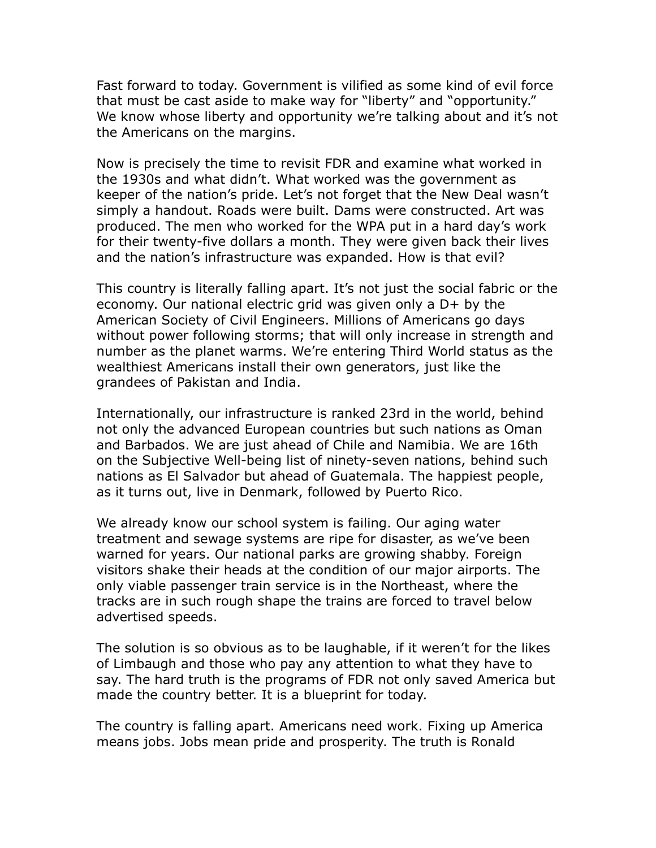Fast forward to today. Government is vilified as some kind of evil force that must be cast aside to make way for "liberty" and "opportunity." We know whose liberty and opportunity we're talking about and it's not the Americans on the margins.

Now is precisely the time to revisit FDR and examine what worked in the 1930s and what didn't. What worked was the government as keeper of the nation's pride. Let's not forget that the New Deal wasn't simply a handout. Roads were built. Dams were constructed. Art was produced. The men who worked for the WPA put in a hard day's work for their twenty-five dollars a month. They were given back their lives and the nation's infrastructure was expanded. How is that evil?

This country is literally falling apart. It's not just the social fabric or the economy. Our national electric grid was given only a D+ by the American Society of Civil Engineers. Millions of Americans go days without power following storms; that will only increase in strength and number as the planet warms. We're entering Third World status as the wealthiest Americans install their own generators, just like the grandees of Pakistan and India.

Internationally, our infrastructure is ranked 23rd in the world, behind not only the advanced European countries but such nations as Oman and Barbados. We are just ahead of Chile and Namibia. We are 16th on the Subjective Well-being list of ninety-seven nations, behind such nations as El Salvador but ahead of Guatemala. The happiest people, as it turns out, live in Denmark, followed by Puerto Rico.

We already know our school system is failing. Our aging water treatment and sewage systems are ripe for disaster, as we've been warned for years. Our national parks are growing shabby. Foreign visitors shake their heads at the condition of our major airports. The only viable passenger train service is in the Northeast, where the tracks are in such rough shape the trains are forced to travel below advertised speeds.

The solution is so obvious as to be laughable, if it weren't for the likes of Limbaugh and those who pay any attention to what they have to say. The hard truth is the programs of FDR not only saved America but made the country better. It is a blueprint for today.

The country is falling apart. Americans need work. Fixing up America means jobs. Jobs mean pride and prosperity. The truth is Ronald